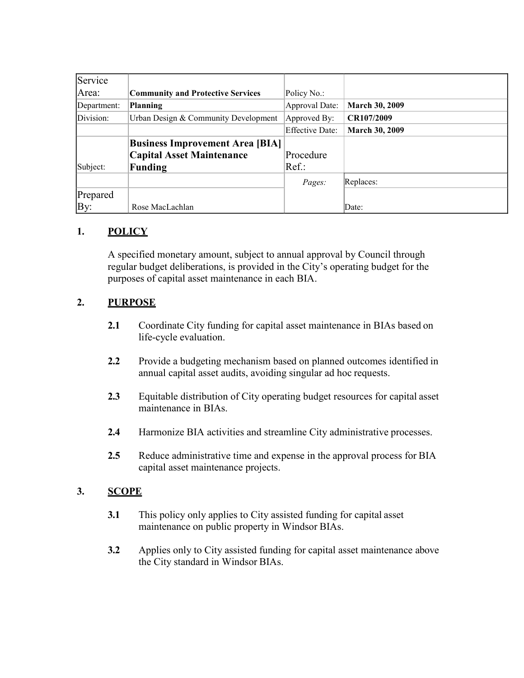| Service     |                                          |                        |                       |
|-------------|------------------------------------------|------------------------|-----------------------|
| Area:       | <b>Community and Protective Services</b> | Policy No.:            |                       |
| Department: | <b>Planning</b>                          | Approval Date:         | <b>March 30, 2009</b> |
| Division:   | Urban Design & Community Development     | Approved By:           | CR107/2009            |
|             |                                          | <b>Effective Date:</b> | <b>March 30, 2009</b> |
|             | <b>Business Improvement Area [BIA]</b>   |                        |                       |
|             | <b>Capital Asset Maintenance</b>         | Procedure              |                       |
| Subject:    | <b>Funding</b>                           | Ref.:                  |                       |
|             |                                          | Pages:                 | Replaces:             |
| Prepared    |                                          |                        |                       |
| By:         | Rose MacLachlan                          |                        | Date:                 |

# **1. POLICY**

A specified monetary amount, subject to annual approval by Council through regular budget deliberations, is provided in the City's operating budget for the purposes of capital asset maintenance in each BIA.

# **2. PURPOSE**

- **2.1** Coordinate City funding for capital asset maintenance in BIAs based on life-cycle evaluation.
- **2.2** Provide a budgeting mechanism based on planned outcomes identified in annual capital asset audits, avoiding singular ad hoc requests.
- **2.3** Equitable distribution of City operating budget resources for capital asset maintenance in BIAs.
- **2.4** Harmonize BIA activities and streamline City administrative processes.
- **2.5** Reduce administrative time and expense in the approval process for BIA capital asset maintenance projects.

### **3. SCOPE**

- **3.1** This policy only applies to City assisted funding for capital asset maintenance on public property in Windsor BIAs.
- **3.2** Applies only to City assisted funding for capital asset maintenance above the City standard in Windsor BIAs.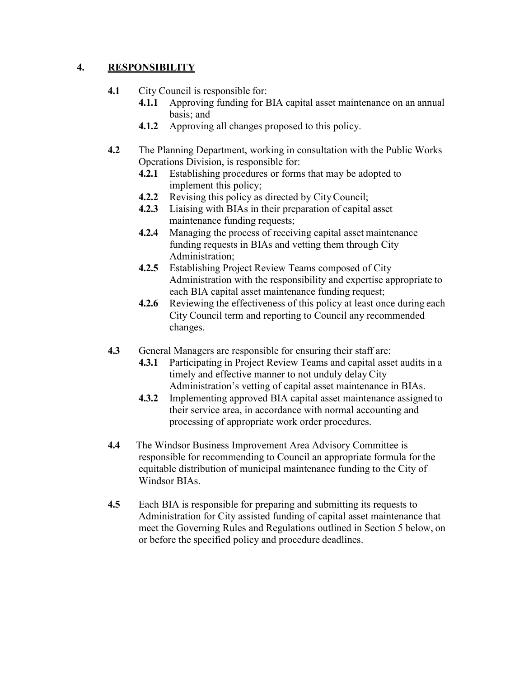### **4. RESPONSIBILITY**

#### **4.1** City Council is responsible for:

- **4.1.1** Approving funding for BIA capital asset maintenance on an annual basis; and
- **4.1.2** Approving all changes proposed to this policy.
- **4.2** The Planning Department, working in consultation with the Public Works Operations Division, is responsible for:
	- **4.2.1** Establishing procedures or forms that may be adopted to implement this policy;
	- **4.2.2** Revising this policy as directed by CityCouncil;
	- **4.2.3** Liaising with BIAs in their preparation of capital asset maintenance funding requests;
	- **4.2.4** Managing the process of receiving capital asset maintenance funding requests in BIAs and vetting them through City Administration;
	- **4.2.5** Establishing Project Review Teams composed of City Administration with the responsibility and expertise appropriate to each BIA capital asset maintenance funding request;
	- **4.2.6** Reviewing the effectiveness of this policy at least once during each City Council term and reporting to Council any recommended changes.
- **4.3** General Managers are responsible for ensuring their staff are:
	- **4.3.1** Participating in Project Review Teams and capital asset audits in a timely and effective manner to not unduly delay City Administration's vetting of capital asset maintenance in BIAs.
	- **4.3.2** Implementing approved BIA capital asset maintenance assigned to their service area, in accordance with normal accounting and processing of appropriate work order procedures.
- **4.4** The Windsor Business Improvement Area Advisory Committee is responsible for recommending to Council an appropriate formula for the equitable distribution of municipal maintenance funding to the City of Windsor BIAs.
- **4.5** Each BIA is responsible for preparing and submitting its requests to Administration for City assisted funding of capital asset maintenance that meet the Governing Rules and Regulations outlined in Section 5 below, on or before the specified policy and procedure deadlines.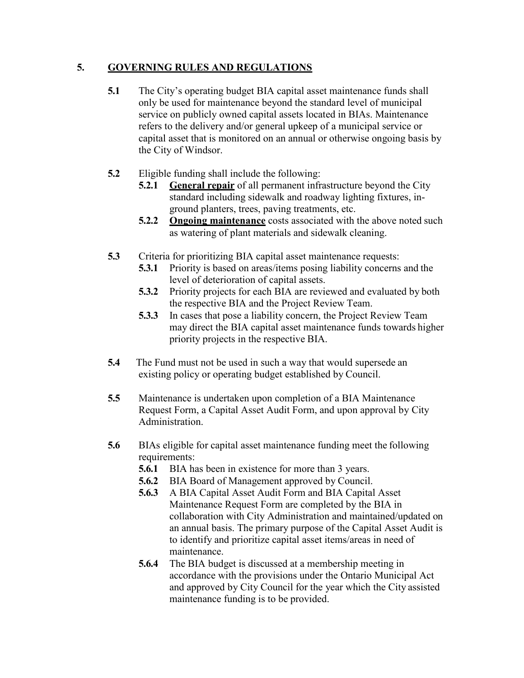## **5. GOVERNING RULES AND REGULATIONS**

- **5.1** The City's operating budget BIA capital asset maintenance funds shall only be used for maintenance beyond the standard level of municipal service on publicly owned capital assets located in BIAs. Maintenance refers to the delivery and/or general upkeep of a municipal service or capital asset that is monitored on an annual or otherwise ongoing basis by the City of Windsor.
- **5.2** Eligible funding shall include the following:
	- **5.2.1 General repair** of all permanent infrastructure beyond the City standard including sidewalk and roadway lighting fixtures, inground planters, trees, paving treatments, etc.
	- **5.2.2 Ongoing maintenance** costs associated with the above noted such as watering of plant materials and sidewalk cleaning.
- **5.3** Criteria for prioritizing BIA capital asset maintenance requests:
	- **5.3.1** Priority is based on areas/items posing liability concerns and the level of deterioration of capital assets.
	- **5.3.2** Priority projects for each BIA are reviewed and evaluated by both the respective BIA and the Project Review Team.
	- **5.3.3** In cases that pose a liability concern, the Project Review Team may direct the BIA capital asset maintenance funds towards higher priority projects in the respective BIA.
- **5.4** The Fund must not be used in such a way that would supersede an existing policy or operating budget established by Council.
- **5.5** Maintenance is undertaken upon completion of a BIA Maintenance Request Form, a Capital Asset Audit Form, and upon approval by City Administration.
- **5.6** BIAs eligible for capital asset maintenance funding meet the following requirements:
	- **5.6.1** BIA has been in existence for more than 3 years.
	- **5.6.2** BIA Board of Management approved by Council.
	- **5.6.3** A BIA Capital Asset Audit Form and BIA Capital Asset Maintenance Request Form are completed by the BIA in collaboration with City Administration and maintained/updated on an annual basis. The primary purpose of the Capital Asset Audit is to identify and prioritize capital asset items/areas in need of maintenance.
	- **5.6.4** The BIA budget is discussed at a membership meeting in accordance with the provisions under the Ontario Municipal Act and approved by City Council for the year which the City assisted maintenance funding is to be provided.